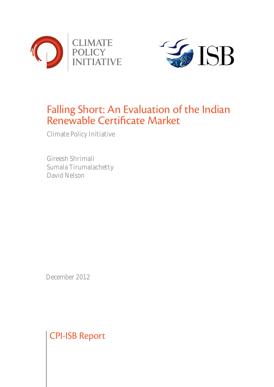



# Falling Short: An Evaluation of the Indian Renewable Certificate Market

Climate Policy Initiative

Gireesh Shrimali Sumala Tirumalachetty David Nelson

December 2012

## CPI-ISB Report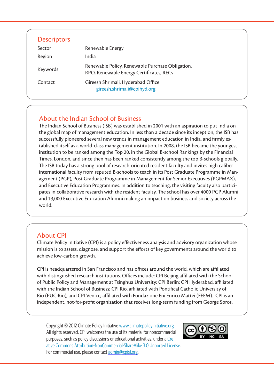| <b>Descriptors</b> |                                                                                              |
|--------------------|----------------------------------------------------------------------------------------------|
| Sector             | Renewable Energy                                                                             |
| Region             | India                                                                                        |
| Keywords           | Renewable Policy, Renewable Purchase Obligation,<br>RPO, Renewable Energy Certificates, RECs |
| Contact            | Gireesh Shrimali, Hyderabad Office<br>gireesh.shrimali@cpihyd.org                            |

## About the Indian School of Business

The Indian School of Business (ISB) was established in 2001 with an aspiration to put India on the global map of management education. In less than a decade since its inception, the ISB has successfully pioneered several new trends in management education in India, and firmly established itself as a world-class management institution. In 2008, the ISB became the youngest institution to be ranked among the Top 20, in the Global B-school Rankings by the Financial Times, London, and since then has been ranked consistently among the top B-schools globally. The ISB today has a strong pool of research-oriented resident faculty and invites high caliber international faculty from reputed B-schools to teach in its Post Graduate Programme in Management (PGP), Post Graduate Programme in Management for Senior Executives (PGPMAX), and Executive Education Programmes. In addition to teaching, the visiting faculty also participates in collaborative research with the resident faculty. The school has over 4000 PGP Alumni and 13,000 Executive Education Alumni making an impact on business and society across the world.

#### About CPI

Climate Policy Initiative (CPI) is a policy effectiveness analysis and advisory organization whose mission is to assess, diagnose, and support the efforts of key governments around the world to achieve low-carbon growth.

CPI is headquartered in San Francisco and has offices around the world, which are affiliated with distinguished research institutions. Offices include: CPI Beijing affiliated with the School of Public Policy and Management at Tsinghua University; CPI Berlin; CPI Hyderabad, affiliated with the Indian School of Business; CPI Rio, affiliated with Pontifical Catholic University of Rio (PUC-Rio); and CPI Venice, affiliated with Fondazione Eni Enrico Mattei (FEEM). CPI is an independent, not-for-profit organization that receives long-term funding from George Soros.

Copyright © 2012 Climate Policy Initiative<www.climatepolicyinitiative.org> All rights reserved. CPI welcomes the use of its material for noncommercial purposes, such as policy discussions or educational activities, under a [Cre](http://creativecommons.org/licenses/by-nc-sa/3.0/)[ative Commons Attribution-NonCommercial-ShareAlike 3.0 Unported License](http://creativecommons.org/licenses/by-nc-sa/3.0/). For commercial use, please contact [admin@cpisf.org](mailto:admin%40cpisf.org?subject=).

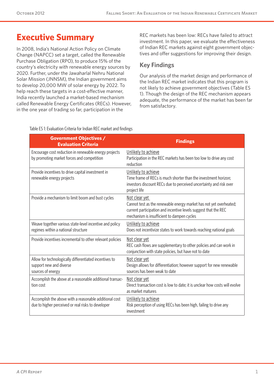## **Executive Summary**

In 2008, India's National Action Policy on Climate Change (NAPCC) set a target, called the Renewable Purchase Obligation (RPO), to produce 15% of the country's electricity with renewable energy sources by 2020. Further, under the Jawaharlal Nehru National Solar Mission (JNNSM), the Indian government aims to develop 20,000 MW of solar energy by 2022. To help reach these targets in a cost-effective manner, India recently launched a market-based mechanism called Renewable Energy Certificates (RECs). However, in the one year of trading so far, participation in the

REC markets has been low: RECs have failed to attract investment. In this paper, we evaluate the effectiveness of Indian REC markets against eight government objectives and offer suggestions for improving their design.

### **Key Findings**

Our analysis of the market design and performance of the Indian REC market indicates that this program is not likely to achieve government objectives (Table ES 1). Though the design of the REC mechanism appears adequate, the performance of the market has been far from satisfactory.

| Table ES 1: Evaluation Criteria for Indian REC market and findings |  |  |
|--------------------------------------------------------------------|--|--|

| <b>Government Objectives /</b><br><b>Evaluation Criteria</b>                                                 | <b>Findings</b>                                                                                                                                                                                      |
|--------------------------------------------------------------------------------------------------------------|------------------------------------------------------------------------------------------------------------------------------------------------------------------------------------------------------|
| Encourage cost reduction in renewable energy projects<br>by promoting market forces and competition          | Unlikely to achieve<br>Participation in the REC markets has been too low to drive any cost<br>reduction                                                                                              |
| Provide incentives to drive capital investment in<br>renewable energy projects                               | Unlikely to achieve<br>Time frame of RECs is much shorter than the investment horizon;<br>investors discount RECs due to perceived uncertainty and risk over<br>project life                         |
| Provide a mechanism to limit boom and bust cycles                                                            | Not clear yet<br>Cannot test as the renewable energy market has not yet overheated;<br>current participation and incentive levels suggest that the REC<br>mechanism is insufficient to dampen cycles |
| Weave together various state-level incentive and policy<br>regimes within a national structure               | Unlikely to achieve<br>Does not incentivize states to work towards reaching national goals                                                                                                           |
| Provide incentives incremental to other relevant policies                                                    | Not clear yet<br>REC cash flows are supplementary to other policies and can work in<br>conjunction with state policies, but have not to date                                                         |
| Allow for technologically differentiated incentives to<br>support new and diverse<br>sources of energy       | Not clear yet<br>Design allows for differentiation; however support for new renewable<br>sources has been weak to date                                                                               |
| Accomplish the above at a reasonable additional transac-<br>tion cost                                        | Not clear yet<br>Direct transaction cost is low to date; it is unclear how costs will evolve<br>as market matures                                                                                    |
| Accomplish the above with a reasonable additional cost<br>due to higher perceived or real risks to developer | Unlikely to achieve<br>Risk perception of using RECs has been high, failing to drive any<br>investment                                                                                               |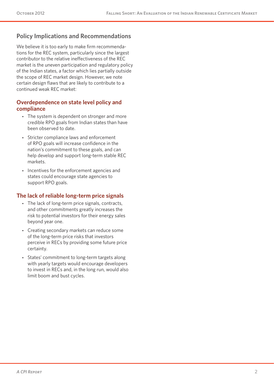## **Policy Implications and Recommendations**

We believe it is too early to make firm recommendations for the REC system, particularly since the largest contributor to the relative ineffectiveness of the REC market is the uneven participation and regulatory policy of the Indian states, a factor which lies partially outside the scope of REC market design. However, we note certain design flaws that are likely to contribute to a continued weak REC market:

#### **Overdependence on state level policy and compliance**

- The system is dependent on stronger and more credible RPO goals from Indian states than have been observed to date.
- Stricter compliance laws and enforcement of RPO goals will increase confidence in the nation's commitment to these goals, and can help develop and support long-term stable REC markets.
- Incentives for the enforcement agencies and states could encourage state agencies to support RPO goals.

#### **The lack of reliable long-term price signals**

- The lack of long-term price signals, contracts, and other commitments greatly increases the risk to potential investors for their energy sales beyond year one.
- Creating secondary markets can reduce some of the long-term price risks that investors perceive in RECs by providing some future price certainty.
- States' commitment to long-term targets along with yearly targets would encourage developers to invest in RECs and, in the long run, would also limit boom and bust cycles.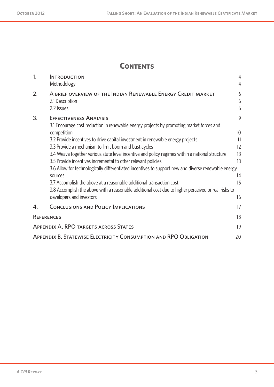## **Contents**

| 1.                | <b>INTRODUCTION</b><br>Methodology                                                                  | $\overline{4}$<br>4 |
|-------------------|-----------------------------------------------------------------------------------------------------|---------------------|
| 2.                | A BRIEF OVERVIEW OF THE INDIAN RENEWABLE ENERGY CREDIT MARKET                                       | 6                   |
|                   | 2.1 Description                                                                                     | 6                   |
|                   | 2.2 Issues                                                                                          | 6                   |
| 3.                | <b>EFFECTIVENESS ANALYSIS</b>                                                                       | 9                   |
|                   | 3.1 Encourage cost reduction in renewable energy projects by promoting market forces and            |                     |
|                   | competition                                                                                         | 10                  |
|                   | 3.2 Provide incentives to drive capital investment in renewable energy projects                     | 11                  |
|                   | 3.3 Provide a mechanism to limit boom and bust cycles                                               | 12                  |
|                   | 3.4 Weave together various state level incentive and policy regimes within a national structure     | 13                  |
|                   | 3.5 Provide incentives incremental to other relevant policies                                       | 13                  |
|                   | 3.6 Allow for technologically differentiated incentives to support new and diverse renewable energy |                     |
|                   | sources                                                                                             | 14                  |
|                   | 3.7 Accomplish the above at a reasonable additional transaction cost                                | 15                  |
|                   | 3.8 Accomplish the above with a reasonable additional cost due to higher perceived or real risks to |                     |
|                   | developers and investors                                                                            | 16                  |
| 4.                | <b>CONCLUSIONS AND POLICY IMPLICATIONS</b>                                                          | 17                  |
| <b>REFERENCES</b> |                                                                                                     | 18                  |
|                   | <b>APPENDIX A. RPO TARGETS ACROSS STATES</b>                                                        | 19                  |
|                   | <b>APPENDIX B. STATEWISE ELECTRICITY CONSUMPTION AND RPO OBLIGATION</b>                             | 20                  |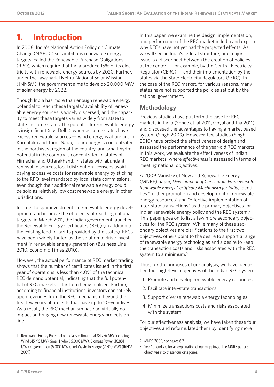## **1. Introduction**

In 2008, India's National Action Policy on Climate Change (NAPCC) set ambitious renewable energy targets, called the Renewable Purchase Obligations (RPO), which require that India produce 15% of its electricity with renewable energy sources by 2020. Further, under the Jawaharlal Nehru National Solar Mission (JNNSM), the government aims to develop 20,000 MW of solar energy by 2022.

Though India has more than enough renewable energy potential to reach these targets,<sup>1</sup> availability of renewable energy sources is widely dispersed, and the capacity to meet these targets varies widely from state to state. In some states, the potential for renewable energy is insignificant (e.g. Delhi), whereas some states have excess renewable sources — wind energy is abundant in Karnataka and Tamil Nadu, solar energy is concentrated in the northwest region of the country, and small-hydro potential in the country is concentrated in states of Himachal and Uttarakhand. In states with abundant renewable sources, local distribution licensees avoid paying excessive costs for renewable energy by sticking to the RPO level mandated by local state commissions, even though their additional renewable energy could be sold as relatively low cost renewable energy in other jurisdictions.

In order to spur investments in renewable energy development and improve the efficiency of reaching national targets, in March 2011, the Indian government launched the Renewable Energy Certificates (REC) (in addition to the existing feed-in-tariffs provided by the states). RECs have been widely touted as the solution to drive investment in renewable energy generation (Business Line 2010, Economic Times 2010).

However, the actual performance of REC market trading shows that the number of certificates issued in the first year of operations is less than 4.0% of the technical REC demand potential, indicating that the full potential of REC markets is far from being realized. Further, according to financial institutions, investors cannot rely upon revenues from the REC mechanism beyond the first few years of projects that have up to 20-year lives. As a result, the REC mechanism has had virtually no impact on bringing new renewable energy projects on line.

In this paper, we examine the design, implementation, and performance of the REC market in India and explore why RECs have not yet had the projected effects. As we will see, in India's federal structure, one major issue is a disconnect between the creation of policies at the center — for example, by the Central Electricity Regulator (CERC) — and their implementation by the states via the State Electricity Regulators (SERC). In the case of the REC market, for various reasons, many states have not supported the policies set out by the national government.

### **Methodology**

Previous studies have put forth the case for REC markets in India (Sonee et. al 2011, Goyal and Jha 2011) and discussed the advantages to having a market based system (Singh 2009). However, few studies (Singh 2010) have probed the effectiveness of design and assessed the performance of the year-old REC markets. In this work, we evaluate the effectiveness of Indian REC markets, where *effectiveness* is assessed in terms of meeting national objectives.

A 2009 Ministry of New and Renewable Energy (MNRE) paper, *Development of Conceptual Framework for Renewable Energy Certificate Mechanism for India*, identifies "further promotion and development of renewable energy resources" and "effective implementation of inter-state transactions" as the primary objectives for Indian renewable energy policy and the REC system.2 This paper goes on to list a few more secondary objectives for the REC system. While many of these secondary objectives are clarifications to the first two objectives, others point to the desire to support a range of renewable energy technologies and a desire to keep the transaction costs and risks associated with the REC system to a minimum.<sup>3</sup>

Thus, for the purposes of our analysis, we have identified four high-level objectives of the Indian REC system:

- 1. Promote and develop renewable energy resources
- 2. Facilitate inter-state transactions
- 3. Support diverse renewable energy technologies
- 4. Minimize transactions costs and risks associated with the system

For our effectiveness analysis, we have taken these four objectives and reformulated them by identifying more

<sup>1</sup> Renewable Energy Potential of India is estimated at 84,776 MW, including Wind (45,195 MW), Small Hydro (15,000 MW), Biomass Power (16,881 MW), Cogeneration (5,000 MW), and Waste to Energy (2,700 MW) (IREDA 2009).

<sup>2</sup> MNRE 2009, see pages 6-7.

<sup>3</sup> See Appendix C for an explanation of our mapping of the MNRE paper's objectives into these four categories.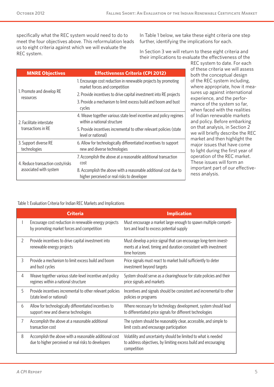specifically what the REC system would need to do to meet the four objectives above. This reformulation leads us to eight criteria against which we will evaluate the REC system.

In Table 1 below, we take these eight criteria one step further, identifying the implications for each.

In Section 3 we will return to these eight criteria and their implications to evaluate the effectiveness of the

| <b>MNRE Objectives</b>                 | <b>Effectiveness Criteria (CPI 2012)</b>                                                                        |
|----------------------------------------|-----------------------------------------------------------------------------------------------------------------|
|                                        | 1. Encourage cost reduction in renewable projects by promoting<br>market forces and competition                 |
| 1. Promote and develop RE<br>resources | 2. Provide incentives to drive capital investment into RE projects                                              |
|                                        | 3. Provide a mechanism to limit excess build and boom and bust<br>cycles                                        |
| 2. Facilitate interstate               | 4. Weave together various state level incentive and policy regimes<br>within a national structure               |
| transactions in RF                     | 5. Provide incentives incremental to other relevant policies (state<br>level or national)                       |
| 3. Support diverse RE<br>technologies  | 6. Allow for technologically differentiated incentives to support<br>new and diverse technologies               |
| 4. Reduce transaction costs/risks      | 7. Accomplish the above at a reasonable additional transaction<br>cost                                          |
| associated with system                 | 8. Accomplish the above with a reasonable additional cost due to<br>higher perceived or real risks to developer |

REC system to date. For each of these criteria we will assess both the conceptual design of the REC system including, where appropriate, how it measures up against international experience, and the performance of the system so far, when faced with the realities of Indian renewable markets and policy. Before embarking on that analysis, in Section 2 we will briefly describe the REC market and then highlight the major issues that have come to light during the first year of operation of the REC market. These issues will form an important part of our effectiveness analysis.

#### Table 1: Evaluation Criteria for Indian REC Markets and Implications

|                                                                                                     | <b>Criteria</b>                                                                                               | <b>Implication</b>                                                                                                                                    |
|-----------------------------------------------------------------------------------------------------|---------------------------------------------------------------------------------------------------------------|-------------------------------------------------------------------------------------------------------------------------------------------------------|
|                                                                                                     | Encourage cost reduction in renewable energy projects<br>by promoting market forces and competition           | Must encourage a market large enough to spawn multiple competi-<br>tors and lead to excess potential supply                                           |
| 2                                                                                                   | Provide incentives to drive capital investment into<br>renewable energy projects                              | Must develop a price signal that can encourage long-term invest-<br>ments at a level, timing and duration consistent with investment<br>time horizons |
| 3                                                                                                   | Provide a mechanism to limit excess build and boom<br>and bust cycles                                         | Price signals must react to market build sufficiently to deter<br>investment beyond targets                                                           |
| Weave together various state-level incentive and policy<br>4<br>regimes within a national structure |                                                                                                               | System should serve as a clearinghouse for state policies and their<br>price signals and markets                                                      |
| 5                                                                                                   | Provide incentives incremental to other relevant policies<br>(state level or national)                        | Incentives and signals should be consistent and incremental to other<br>policies or programs                                                          |
| 6                                                                                                   | Allow for technologically differentiated incentives to<br>support new and diverse technologies                | Where necessary for technology development, system should lead<br>to differentiated price signals for different technologies                          |
| 7                                                                                                   | Accomplish the above at a reasonable additional<br>transaction cost                                           | The system should be reasonably clear, accessible, and simple to<br>limit costs and encourage participation                                           |
| 8                                                                                                   | Accomplish the above with a reasonable additional cost<br>due to higher perceived or real risks to developers | Volatility and uncertainty should be limited to what is needed<br>to address objectives, by limiting excess build and encouraging<br>competition      |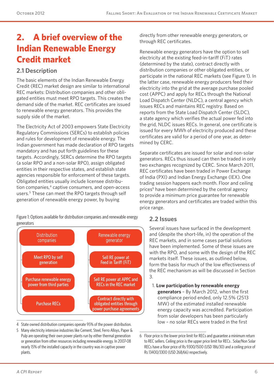# **2. A brief overview of the Indian Renewable Energy Credit market**

### **2.1 Description**

The basic elements of the Indian Renewable Energy Credit (REC) market design are similar to international REC markets: Distribution companies and other obligated entities must meet RPO targets. This creates the demand side of the market. REC certificates are issued to renewable energy generators. This provides the supply side of the market.

The Electricity Act of 2003 empowers State Electricity Regulatory Commissions (SERCs) to establish policies and rules for development of renewable energy. The Indian government has made declaration of RPO targets mandatory and has put forth guidelines for these targets. Accordingly, SERCs determine the RPO targets (a solar RPO and a non-solar RPO), assign obligated entities in their respective states, and establish state agencies responsible for enforcement of these targets. Obligated entities usually include licensee distribution companies,<sup>4</sup> captive consumers, and open-access users.<sup>5</sup> These can meet the RPO targets through self generation of renewable energy power, by buying

Figure 1: Options available for distribution companies and renewable energy generators



- 4 State owned distribution companies operate 95% of the power distribution.
- 5 Many electricity intensive industries like Cement, Steel, Ferro Alloys, Paper & Pulp are operating their own power plants run by either thermal generation or generation from other resources including renewable energy. In 2007-08 nearly 15% of the installed capacity in the country was in captive power plants.

directly from other renewable energy generators, or through REC certificates.

Renewable energy generators have the option to sell electricity at the existing feed-in-tariff (FiT) rates (determined by the state), contract directly with distribution companies or other obligated entities, or participate in the national REC markets (see Figure 1). In the latter case, renewable energy producers feed their electricity into the grid at the average purchase pooled cost (APPC) and apply for RECs through the National Load Dispatch Center (NLDC), a central agency which issues RECs and maintains REC registry. Based on reports from the State Load Dispatch Center (SLDC), a state agency which verifies the actual power fed into the grid, NLDC issues RECs. In general, one certificate is issued for every MWh of electricity produced and these certificates are valid for a period of one year, as determined by CERC.

Separate certificates are issued for solar and non-solar generators. RECs thus issued can then be traded in only two exchanges recognized by CERC. Since March 2011, REC certificates have been traded in Power Exchange of India (PXI) and Indian Energy Exchange (IEX). One trading session happens each month. Floor and ceiling prices<sup>6</sup> have been determined by the central agency to provide a minimum price guarantee for renewable energy generators and certificates are traded within this price range.

### **2.2 Issues**

Several issues have surfaced in the development and (despite the short-life, in) the operation of the REC markets, and in some cases partial solutions have been implemented. Some of these issues are with the RPO, and some with the design of the REC markets itself. These issues, as outlined below, form the basis for much of the low effectiveness of the REC mechanism as will be discussed in Section 3.

1. **Low participation by renewable energy generators** – By March 2012, when the first compliance period ended, only 12.5% (2513 MW) of the estimated installed renewable energy capacity was accredited. Participation from solar developers has been particularly low – no solar RECs were traded in the first

<sup>6</sup> Floor price is the lower price limit for RECs and guarantee a minimum return to REC sellers. Ceiling price is the upper price limit for RECs . Solar/Non Solar RECs have a floor price of Rs 9300/1500 (USD 186/30) and a ceiling price of Rs 13400/3300 (USD 268/66) respectively.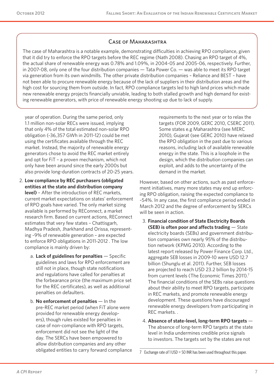#### Case of Maharashtra

The case of Maharashtra is a notable example, demonstrating difficulties in achieving RPO compliance, given that it did try to enforce the RPO targets before the REC regime (Nath 2008). Chasing an RPO target of 4%, the actual share of renewable energy was 0.78% and 1.09%, in 2004-05 and 2005-06, respectively. Further, in 2007-08, only one of the four distribution companies — Tata Power Co. — was able to meet its RPO target via generation from its own windmills. The other private distribution companies – Reliance and BEST – have not been able to procure renewable energy because of the lack of suppliers in their distribution areas and the high cost for sourcing them from outside. In fact, RPO compliance targets led to high land prices which made new renewable energy projects financially unviable, leading to both stalled growth and high demand for existing renewable generators, with price of renewable energy shooting up due to lack of supply.

year of operation. During the same period, only 1.1 million non-solar RECs were issued, implying that only 4% of the total estimated non-solar RPO obligation (~36,357 GWh in 2011-12) could be met using the certificates available through the REC market. Instead, the majority of renewable energy generators chose to avoid the REC market entirely and opt for FiT – a proven mechanism, which not only have been around since the early 2000s but also provide long-duration contracts of 20-25 years.

- 2. **Low compliance by REC purchasers (obligated entities at the state and distribution company level)** – After the introduction of REC markets, current market expectations on states' enforcement of RPO goals have varied. The only market sizing available is performed by REConnect, a market research firm. Based on current actions, REConnect estimates that very few states – Chattisgarh, Madhya Pradesh, Jharkhand and Orissa, representing ~9% of renewable generation – are expected to enforce RPO obligations in 2011-2012 . The low compliance is mainly driven by:
	- a. **Lack of guidelines for penalties** Specific guidelines and laws for RPO enforcement are still not in place, though state notifications and regulations have called for penalties at the forbearance price (the maximum price set for the REC certificates), as well as additional penalties on defaulters.
	- b. **No enforcement of penalties**  In the pre-REC market period (when FiT alone were provided for renewable energy developers), though rules existed for penalties in case of non-compliance with RPO targets, enforcement did not see the light of the day. The SERCs have been empowered to allow distribution companies and any other obligated entities to carry forward compliance

requirements to the next year or to relax the targets (FOR 2009, GERC 2010, CSERC 2011). Some states e.g Maharashtra (see MERC 2010), Gujarat (see GERC 2010) have relaxed the RPO obligation in the past due to various reasons, including lack of available renewable energy in the state. This is a loophole in the design, which the distribution companies can exploit, and adds to the uncertainty of the demand in the market.

However, based on other actions, such as past enforcement initiatives, many more states may end up enforcing RPO obligation, raising the expected compliance to ~54%. In any case, the first compliance period ended in March 2012 and the degree of enforcement by SERCs will be seen in action.

- 3. **Financial condition of State Electricity Boards (SEB) is often poor and affects trading** — State electricity boards (SEBs) and government distribution companies own nearly 95% of the distribution network (KPMG 2010). According to the latest report released by Power Finance Corp. Ltd., aggregate SEB losses in 2009-10 were USD 12.7 billion (Shunglu et al. 2011). Further, SEB losses are projected to reach USD 23.2 billion by 2014-15 from current levels (The Economic Times 2011).<sup>7</sup> The financial conditions of the SEBs raise questions about their ability to meet RPO targets, participate in REC markets, and promote renewable energy development. These questions have discouraged renewable energy developers from participating in REC markets. .
- 4. **Absence of state-level, long-term RPO targets** The absence of long-term RPO targets at the state level in India undermines credible price signals to investors. The targets set by the states are not

<sup>7</sup> Exchange rate of 1 USD = 50 INR has been used throughout this paper.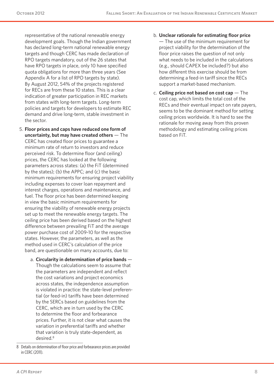representative of the national renewable energy development goals. Though the Indian government has declared long-term national renewable energy targets and though CERC has made declaration of RPO targets mandatory, out of the 26 states that have RPO targets in place, only 10 have specified quota obligations for more than three years (See Appendix A for a list of RPO targets by state). By August 2012, 54% of the projects registered for RECs are from these 10 states. This is a clear indication of greater participation in REC markets from states with long-term targets. Long-term policies and targets for developers to estimate REC demand and drive long-term, stable investment in the sector.

- 5. **Floor prices and caps have reduced one form of uncertainty, but may have created others** — The CERC has created floor prices to guarantee a minimum rate of return to investors and reduce perceived risk. To determine floor (and ceiling) prices, the CERC has looked at the following parameters across states: (a) the FiT (determined by the states); (b) the APPC; and (c) the basic minimum requirements for ensuring project viability including expenses to cover loan repayment and interest charges, operations and maintenance, and fuel. The floor price has been determined keeping in view the basic minimum requirements for ensuring the viability of renewable energy projects set up to meet the renewable energy targets. The ceiling price has been derived based on the highest difference between prevailing FiT and the average power purchase cost of 2009-10 for the respective states. However, the parameters, as well as the method used in CERC's calculation of the price band, are questionable on many accounts, due to:
	- a. **Circularity in determination of price bands** Though the calculations seem to assume that the parameters are independent and reflect the cost variations and project economics across states, the independence assumption is violated in practice: the state-level preferential (or feed-in) tariffs have been determined by the SERCs based on guidelines from the CERC, which are in turn used by the CERC to determine the floor and forbearance prices. Further, it is not clear what causes the variation in preferential tariffs and whether that variation is truly state-dependent, as desired.8
- b. **Unclear rationale for estimating floor price** — The use of the minimum requirement for project viability for the determination of the floor price raises the question of not only what needs to be included in the calculations (e.g., should CAPEX be included?) but also how different this exercise should be from determining a feed-in tariff since the RECs support a market-based mechanism.
- c. **Ceiling price not based on cost cap** The cost cap, which limits the total cost of the RECs and their eventual impact on rate payers, seems to be the dominant method for setting ceiling prices worldwide. It is hard to see the rationale for moving away from this proven methodology and estimating ceiling prices based on FiT.

<sup>8</sup> Details on determination of floor price and forbearance prices are provided in CERC (2011).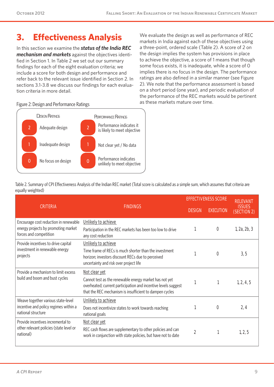# **3. Effectiveness Analysis**

In this section we examine the *status of the India REC mechanism and markets* against the objectives identified in Section 1. In Table 2 we set out our summary findings for each of the eight evaluation criteria; we include a score for both design and performance and refer back to the relevant issue identified in Section 2. In sections 3.1-3.8 we discuss our findings for each evaluation criteria in more detail.

We evaluate the design as well as performance of REC markets in India against each of these objectives using a three-point, ordered scale (Table 2). A score of 2 on the design implies the system has provisions in place to achieve the objective, a score of 1 means that though some focus exists, it is inadequate, while a score of 0 implies there is no focus in the design. The performance ratings are also defined in a similar manner (see Figure 2). We note that the performance assessment is based on a short period (one year), and periodic evaluation of the performance of the REC markets would be pertinent as these markets mature over time.

#### Figure 2: Design and Performance Ratings



Table 2. Summary of CPI Effectiveness Analysis of the Indian REC market (Total score is calculated as a simple sum, which assumes that criteria are equally weighted)

|                                                                                                        |                                                                                                                                                                                                      |                | <b>FFFECTIVENESS SCORE</b> | <b>RELEVANT</b>              |
|--------------------------------------------------------------------------------------------------------|------------------------------------------------------------------------------------------------------------------------------------------------------------------------------------------------------|----------------|----------------------------|------------------------------|
| <b>CRITERIA</b>                                                                                        | <b>FINDINGS</b>                                                                                                                                                                                      | <b>DESIGN</b>  | <b>EXECUTION</b>           | <b>ISSUES</b><br>(SECTION 2) |
| Encourage cost reduction in renewable<br>energy projects by promoting market<br>forces and competition | Unlikely to achieve<br>Participation in the REC markets has been too low to drive<br>any cost reduction                                                                                              |                | 0                          | 1, 2a, 2b, 3                 |
| Provide incentives to drive capital<br>investment in renewable energy<br>projects                      | Unlikely to achieve<br>Time frame of RECs is much shorter than the investment<br>horizon; investors discount RECs due to perceived<br>uncertainty and risk over project life                         |                | 0                          | 3, 5                         |
| Provide a mechanism to limit excess<br>build and boom and bust cycles                                  | Not clear yet<br>Cannot test as the renewable energy market has not yet<br>overheated; current participation and incentive levels suggest<br>that the REC mechanism is insufficient to dampen cycles |                |                            | 1, 2, 4, 5                   |
| Weave together various state-level<br>incentive and policy regimes within a<br>national structure      | Unlikely to achieve<br>Does not incentivize states to work towards reaching<br>national goals                                                                                                        |                | 0                          | 2, 4                         |
| Provide incentives incremental to<br>other relevant policies (state level or<br>national)              | Not clear yet<br>REC cash flows are supplementary to other policies and can<br>work in conjunction with state policies, but have not to date                                                         | $\overline{2}$ |                            | 1, 2, 5                      |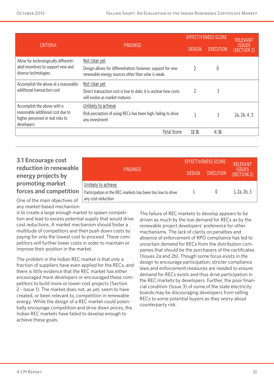|                                                                                                                     |                                                                                                                                    |               | <b>EFFECTIVENESS SCORE</b> |                              |
|---------------------------------------------------------------------------------------------------------------------|------------------------------------------------------------------------------------------------------------------------------------|---------------|----------------------------|------------------------------|
| <b>CRITERIA</b>                                                                                                     | <b>FINDINGS</b>                                                                                                                    | <b>DESIGN</b> | <b>EXECUTION</b>           | <b>ISSUES</b><br>(SECTION 2) |
| Allow for technologically differenti-<br>ated incentives to support new and<br>diverse technologies                 | Not clear yet<br>Design allows for differentiation; however, support for new<br>renewable energy sources other than solar is weak. |               | $\mathbf 0$                |                              |
| Accomplish the above at a reasonable<br>additional transaction cost                                                 | Not clear yet<br>Direct transaction cost is low to date; it is unclear how costs<br>will evolve as market matures                  |               |                            |                              |
| Accomplish the above with a<br>reasonable additional cost due to<br>higher perceived or real risks to<br>developers | Unlikely to achieve<br>Risk perception of using RECs has been high, failing to drive<br>any investment                             |               |                            | 2a, 2b, 4, 5                 |
|                                                                                                                     | <b>Total Score</b>                                                                                                                 | 11/16         | 4/16                       |                              |

### **3.1 Encourage cost reduction in renewable energy projects by promoting market forces and competition**

|                                                                                  | <b>EFFECTIVENESS SCORE</b> | <b>RELEVANT</b>  |                              |
|----------------------------------------------------------------------------------|----------------------------|------------------|------------------------------|
| <b>FINDINGS</b>                                                                  | <b>DESIGN</b>              | <b>EXECUTION</b> | <b>ISSUES</b><br>(SECTION 2) |
| Unlikely to achieve                                                              |                            |                  |                              |
| Participation in the REC markets has been too low to drive<br>any cost reduction |                            | $\Omega$         | 1, 2a, 2b, 3                 |

One of the main objectives of any market-based mechanism

is to create a large enough market to spawn competition and lead to excess potential supply that would drive cost reductions. A market mechanism should foster a multitude of competitors and then push down costs by paying for only the lowest cost to proceed. These competitors will further lower costs in order to maintain or improve their position in the market.

The problem in the Indian REC market is that only a fraction of suppliers have even applied for the RECs, and there is little evidence that the REC market has either encouraged more developers or encouraged these competitors to build more or lower-cost projects (Section 2 - Issue 1). The market does not, as yet, seem to have created, or been relevant to, competition in renewable energy. While the design of a REC market could potentially encourage competition and drive down prices, the Indian REC markets have failed to develop enough to achieve these goals.

The failure of REC markets to develop appears to be driven as much by the low demand for RECs as by the renewable project developers' preference for other mechanisms. The lack of clarity on penalties and absence of enforcement of RPO compliance has led to uncertain demand for RECs from the distribution companies that should be the purchasers of the certificates (Issues 2a and 2b). Though some focus exists in the design to encourage participation, stricter compliance laws and enforcement measures are needed to ensure demand for RECs exists and thus drive participation in the REC markets by developers. Further, the poor financial condition (Issue 3) of some of the state electricity boards may be discouraging developers from selling RECs to some potential buyers as they worry about counterparty risk.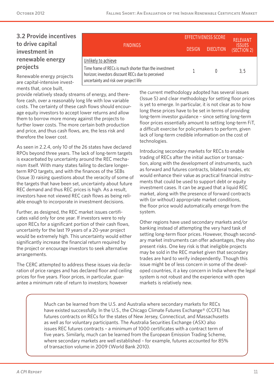## **3.2 Provide incentives to drive capital investment in renewable energy projects**

Renewable energy projects are capital-intensive investments that, once built,

provide relatively steady streams of energy, and therefore cash, over a reasonably long life with low variable costs. The certainty of these cash flows should encourage equity investors to accept lower returns and allow them to borrow more money against the projects to further lower costs. The more certain both production and price, and thus cash flows, are, the less risk and therefore the lower cost.

As seen in 2.2.4, only 10 of the 26 states have declared RPOs beyond three years. The lack of long-term targets is exacerbated by uncertainty around the REC mechanism itself. With many states failing to declare longerterm RPO targets, and with the finances of the SEBs (Issue 3) raising questions about the veracity of some of the targets that have been set, uncertainty about future REC demand and thus REC prices is high. As a result, investors have not viewed REC cash flows as being reliable enough to incorporate in investment decisions.

Further, as designed, the REC market issues certificates valid only for one year. If investors were to rely upon RECs for a significant portion of their cash flows, uncertainty for the last 19 years of a 20-year project would be extremely high. This uncertainty would either significantly increase the financial return required by the project or encourage investors to seek alternative arrangements.

The CERC attempted to address these issues via declaration of price ranges and has declared floor and ceiling prices for five years. Floor prices, in particular, guarantee a minimum rate of return to investors; however

|                                                                                                                                                       | <b>EFFECTIVENESS SCORE</b> | <b>RELEVANT</b>  |                              |
|-------------------------------------------------------------------------------------------------------------------------------------------------------|----------------------------|------------------|------------------------------|
| 'FINDINGS.                                                                                                                                            | <b>DESIGN</b>              | <b>EXECUTION</b> | <b>ISSUES</b><br>(SECTION 2) |
| Unlikely to achieve                                                                                                                                   |                            |                  |                              |
| Time frame of RECs is much shorter than the investment<br>horizon; investors discount RECs due to perceived<br>uncertainty and risk over project life |                            |                  | 3.5                          |

the current methodology adopted has several issues (Issue 5) and clear methodology for setting floor prices is yet to emerge. In particular, it is not clear as to how long these prices have to be set in terms of providing long-term investor guidance – since setting long-term floor prices essentially amount to setting long-term FiT, a difficult exercise for policymakers to perform, given lack of long-term credible information on the cost of technologies.

Introducing secondary markets for RECs to enable trading of RECs after the initial auction or transaction, along with the development of instruments, such as forward and futures contracts, bilateral trades, etc would enhance their value as practical financial instruments that could be used to support debt or equity investment cases. It can be argued that a liquid REC market, along with the presence of forward contracts with (or without) appropriate market conditions, the floor price would automatically emerge from the system.

Other regions have used secondary markets and/or banking instead of attempting the very hard task of setting long-term floor prices. However, though secondary market instruments can offer advantages, they also present risks. One key risk is that ineligible projects may be sold in the REC market given that secondary trades are hard to verify independently. Though this issue might be of less concern in some of the developed countries, it a key concern in India where the legal system is not robust and the experience with open markets is relatively new.

Much can be learned from the U.S. and Australia where secondary markets for RECs have existed successfully. In the U.S., the Chicago Climate Futures Exchange® (CCFE) has futures contracts on RECs for the states of New Jersey, Connecticut, and Massachusetts as well as for voluntary participants. The Australia Securities Exchange (ASX) also issues REC futures contracts – a minimum of 1000 certificates with a contract term of five years. Similarly, much can be learned from the European Emission Trading Scheme, where secondary markets are well established – for example, futures accounted for 85% of transaction volume in 2009 (World Bank 2010).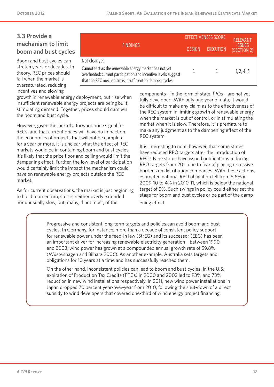## **3.3 Provide a mechanism to limit boom and bust cycles**

Boom and bust cycles can stretch years or decades. In theory, REC prices should fall when the market is oversaturated, reducing incentives and slowing

| <b>FINDINGS</b>                                                                                                                                                                                      | <b>DESIGN</b> | <b>EXECUTION</b> | RFIFVANI<br><b>ISSUES</b><br>(SECTION 2) |
|------------------------------------------------------------------------------------------------------------------------------------------------------------------------------------------------------|---------------|------------------|------------------------------------------|
| Not clear yet<br>Cannot test as the renewable energy market has not yet<br>overheated; current participation and incentive levels suggest<br>that the REC mechanism is insufficient to dampen cycles |               | $\overline{1}$   | 1, 2, 4, 5                               |

growth in renewable energy deployment, but rise when insufficient renewable energy projects are being built, stimulating demand. Together, prices should dampen the boom and bust cycle.

However, given the lack of a forward price signal for RECs, and that current prices will have no impact on the economics of projects that will not be complete for a year or more, it is unclear what the effect of REC markets would be in containing boom and bust cycles. It's likely that the price floor and ceiling would limit the dampening effect. Further, the low level of participation would certainly limit the impact the mechanism could have on renewable energy projects outside the REC market.

As for current observations, the market is just beginning to build momentum, so it is neither overly extended nor unusually slow, but, many, if not most, of the

components – in the form of state RPOs – are not yet fully developed. With only one year of data, it would be difficult to make any claim as to the effectiveness of the REC system in limiting growth of renewable energy when the market is out of control, or in stimulating the market when it is slow. Therefore, it is premature to make any judgment as to the dampening effect of the REC system.

**EFFECTIVENESS SCORE** 

It is interesting to note, however, that some states have reduced RPO targets after the introduction of RECs. Nine states have issued notifications reducing RPO targets from 2011 due to fear of placing excessive burdens on distribution companies. With these actions, estimated national RPO obligation fell from 5.6% in 2009-10 to 4% in 2010-11, which is below the national target of 5%. Such swings in policy could either set the stage for boom and bust cycles or be part of the dampening effect.

Progressive and consistent long-term targets and policies can avoid boom and bust cycles. In Germany, for instance, more than a decade of consistent policy support for renewable power under the feed-in law (StrEG) and its successor (EEG) has been an important driver for increasing renewable electricity generation – between 1990 and 2003, wind power has grown at a compounded annual growth rate of 59.8% (Wüstenhagen and Bilharz 2006). As another example, Australia sets targets and obligations for 10 years at a time and has successfully reached them.

On the other hand, inconsistent policies can lead to boom and bust cycles. In the U.S., expiration of Production Tax Credits (PTCs) in 2000 and 2002 led to 93% and 73% reduction in new wind installations respectively. In 2011, new wind power installations in Japan dropped 70 percent year-over-year from 2010, following the shut-down of a direct subsidy to wind developers that covered one-third of wind energy project financing.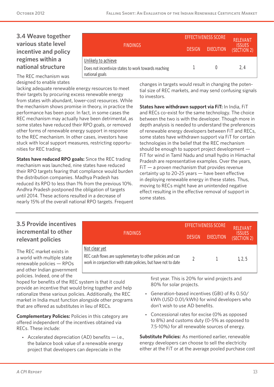## **3.4 Weave together various state level incentive and policy regimes within a national structure**

|                                                                                               | <b>EFFECTIVENESS SCORE</b> | <b>RELEVANT</b>  |                              |
|-----------------------------------------------------------------------------------------------|----------------------------|------------------|------------------------------|
| <b>FINDINGS</b>                                                                               | <b>DESIGN</b>              | <b>EXECUTION</b> | <b>ISSUES</b><br>(SECTION 2) |
| Unlikely to achieve<br>Does not incentivize states to work towards reaching<br>national goals |                            |                  | 2.4                          |

The REC mechanism was designed to enable states

lacking adequate renewable energy resources to meet their targets by procuring excess renewable energy from states with abundant, lower-cost resources. While the mechanism shows promise in theory, in practice the performance has been poor. In fact, in some cases the REC mechanism may actually have been detrimental, as some states have reduced their RPO goals, or removed other forms of renewable energy support in response to the REC mechanism. In other cases, investors have stuck with local support measures, restricting opportunities for REC trading.

**States have reduced RPO goals:** Since the REC trading mechanism was launched, nine states have reduced their RPO targets fearing that compliance would burden the distribution companies. Madhya Pradesh has reduced its RPO to less than 1% from the previous 10%. Andhra Pradesh postponed the obligation of targets until 2014. These actions resulted in a decrease of nearly 15% of the overall national RPO targets. Frequent

**FINDINGS**

REC cash flows are supplementary to other policies and can

work in conjunction with state policies, but have not to date **<sup>2</sup> <sup>1</sup> 1, 2, 5**

changes in targets would result in changing the potential size of REC markets, and may send confusing signals to investors.

**States have withdrawn support via FiT:** In India, FiT and RECs co-exist for the same technology. The choice between the two is with the developer. Though more in depth analysis is needed to understand the preferences of renewable energy developers between FiT and RECs, some states have withdrawn support via FiT for certain technologies in the belief that the REC mechanism should be enough to support project development — FiT for wind in Tamil Nadu and small hydro in Himachal Pradesh are representative examples. Over the years,  $FiT - a$  proven mechanism that provides revenue certainty up to 20-25 years — have been effective in deploying renewable energy in these states. Thus, moving to RECs might have an unintended negative effect resulting in the effective removal of support in some states.

## **3.5 Provide incentives incremental to other relevant policies**

The REC market exists in a world with multiple state renewable policies — RPOs and other Indian government policies. Indeed, one of the

hoped for benefits of the REC system is that it could provide an incentive that would bring together and help rationalize these various policies. Additionally, the REC market in India must function alongside other programs that are offered as substitutes in lieu of RECs.

**Not clear yet**

**Complementary Policies:** Policies in this category are offered independent of the incentives obtained via RECs. These include:

• Accelerated depreciation  $(AD)$  benefits  $-$  i.e., the balance book value of a renewable energy project that developers can depreciate in the

first year. This is 20% for wind projects and 80% for solar projects.

**EFFECTIVENESS SCORE RELEVANT** 

**DESIGN (SECTION 2) EXECUTION**

**ISSUES** 

- Generation-based incentives (GBI) of Rs 0.50/ kWh (USD 0.01/kWh) for wind developers who don't wish to use AD benefits.
- Concessional rates for excise (0% as opposed to 8%) and customs duty (0-5% as opposed to 7.5-10%) for all renewable sources of energy.

**Substitute Policies:** As mentioned earlier, renewable energy developers can choose to sell the electricity either at the FiT or at the average pooled purchase cost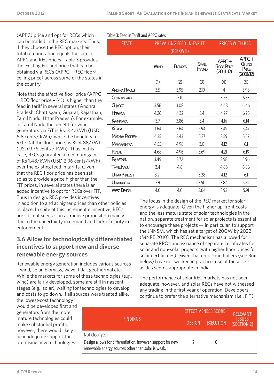(APPC) price and opt for RECs which can be traded in the REC markets. Thus, if they choose the REC option, their total remuneration equals the sum of APPC and REC prices. Table 3 provides the existing FiT and price that can be obtained via RECs (APPC + REC floor/ ceiling price) across some of the states in the country.

Note that the effective floor price (APPC + REC floor price – (4)) is higher than the feed in tariff in several states (Andhra Pradesh, Chattisgarh, Gujarat, Rajasthan, Tamil Nadu, Uttar Pradesh). For example, in Tamil Nadu the benefit for wind generators via FiT is Rs. 3.4/kWh (USD 6.8 cents/ kWh), while the benefit via RECs (at the floor price) is Rs 4.88/kWh (USD 9.76 cents / kWh). Thus in this case, RECs guarantee a minimum gain of Rs 1.48/kWh (USD 2.96 cents/kWh) over the existing feed in tariffs. Given that the REC floor price has been set so as to provide a price higher than the FiT prices, in several states there is an added incentive to opt for RECs over FiT. Thus in design, REC provides incentives

in addition to and at higher prices than other policies in place. In spite of this incremental incentive, RECs are still not seen as an attractive proposition mainly due to the uncertainty in demand and lack of clarity in enforcement.

## **3.6 Allow for technologically differentiated incentives to support new and diverse renewable energy sources**

Renewable energy generation includes various sources – wind, solar, biomass, wave, tidal, geothermal etc. While the markets for some of these technologies (e.g., wind) are fairly developed, some are still in nascent stages (e.g., solar), waiting for technologies to develop and costs to go down. If all sources were treated alike,

the lowest-cost technology would be developed first and generators from the more mature technologies could make substantial profits, however, there would likely be inadequate support for promising new technologies.

|  | Table 3: Feed in Tariff and APPC rates |  |
|--|----------------------------------------|--|
|  |                                        |  |

| <b>STATE</b>          | <b>PREVAILING FFED-IN-TARIFF</b><br>(RS/KWH) |                |                              | <b>PRICES WITH REC</b>                        |                                             |  |
|-----------------------|----------------------------------------------|----------------|------------------------------|-----------------------------------------------|---------------------------------------------|--|
|                       | <b>WIND</b>                                  | <b>BIOMASS</b> | <b>SMALL</b><br><b>HYDRO</b> | $APPC +$<br><b>FLOOR PRICE</b><br>$(2011-12)$ | $APPC +$<br>CEILING<br>PRICE<br>$(2011-12)$ |  |
|                       | (1)                                          | (2)            | (3)                          | (4)                                           | (5)                                         |  |
| <b>ANDHRA PRADESH</b> | 3.5                                          | 3.95           | 2.19                         | 4                                             | 5.98                                        |  |
| CHHATTISGARH          |                                              | 3.11           |                              | 3.55                                          | 5.53                                        |  |
| GUIARAT               | 3.56                                         | 3.08           |                              | 4.48                                          | 6.46                                        |  |
| <b>HARYANA</b>        | 4.26                                         | 4.32           | 3.4                          | 4.27                                          | 6.25                                        |  |
| KARNATAKA             | 3.7                                          | 3.86           | 3.4                          | 4.16                                          | 6.14                                        |  |
| KERALA                | 3.64                                         | 3.64           | 2.94                         | 3.49                                          | 5.47                                        |  |
| <b>MADHYA PRADESH</b> | 4.35                                         | 3.43           | 5.37                         | 3.59                                          | 5.57                                        |  |
| MAHARASHTRA           | 4.55                                         | 4.98           | 3.0                          | 4.12                                          | 6.1                                         |  |
| <b>PUNJAB</b>         | 4.68                                         | 4.96           | 3.69                         | 4.21                                          | 6.19                                        |  |
| RAJASTHAN             | 3.49                                         | 3.72           |                              | 3.98                                          | 5.96                                        |  |
| <b>TAMIL NADU</b>     | 3.4                                          | 4.8            |                              | 4.88                                          | 6.86                                        |  |
| <b>UTTAR PRADESH</b>  | 3.21                                         |                | 3.28                         | 4.12                                          | 6.1                                         |  |
| UTTARANCHAL           | 3.9                                          |                | 3.50                         | 3.84                                          | 5.82                                        |  |
| <b>WEST BENGAL</b>    | 4.0                                          | 4.0            | 3.64                         | 3.93                                          | 5.91                                        |  |

The focus in the design of the REC market for solar energy is adequate. Given the higher up-front costs and the less mature state of solar technologies in the nation, separate treatment for solar projects is essential to encourage these projects — in particular, to support the JNNSM, which has set a target of 20GW by 2022 (MNRE 2010). The REC mechanism has allowed for separate RPOs and issuance of separate certificates for solar and non-solar projects (with higher floor prices for solar certificates). Given that credit-multipliers (see Box below) have not worked in practice, use of these setasides seems appropriate in India.

The performance of solar REC markets has not been adequate, however, and solar RECs have not witnessed any trading in the first year of operation. Developers continue to prefer the alternative mechanism (i.e., FiT)

|                                                                                                                   | <b>EFFECTIVENESS SCORE</b> | <b>RELEVANT</b>  |                              |
|-------------------------------------------------------------------------------------------------------------------|----------------------------|------------------|------------------------------|
| <b>FINDINGS</b>                                                                                                   | <b>DESIGN</b>              | <b>EXECUTION</b> | <b>ISSUES</b><br>(SECTION 2) |
| Not clear yet                                                                                                     |                            |                  |                              |
| Design allows for differentiation, however, support for new<br>renewable energy sources other than solar is weak. |                            |                  |                              |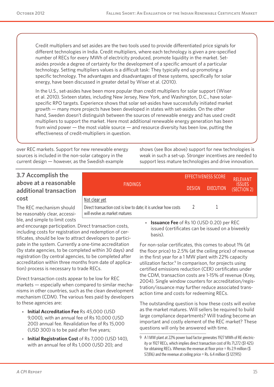Credit multipliers and set asides are the two tools used to provide differentiated price signals for different technologies in India. Credit multipliers, where each technology is given a pre-specified number of RECs for every MWh of electricity produced, promote liquidity in the market. Setasides provide a degree of certainty for the development of a specific amount of a particular technology. Setting multipliers values is a difficult task: They typically end up promoting a specific technology. The advantages and disadvantages of these systems, specifically for solar energy, have been discussed in greater detail by Wiser et al. (2010).

In the U.S., set-asides have been more popular than credit multipliers for solar support (Wiser et al. 2010). Sixteen states, including New Jersey, New York, and Washington, D.C., have solarspecific RPO targets. Experience shows that solar set-asides have successfully initiated market growth — many more projects have been developed in states with set-asides. On the other hand, Sweden doesn't distinguish between the sources of renewable energy and has used credit multipliers to support the market. Here most additional renewable energy generation has been from wind power — the most viable source — and resource diversity has been low, putting the effectiveness of credit-multipliers in question.

**FINDINGS**

Direct transaction cost is low to date; it is unclear how costs

over REC markets. Support for new renewable energy sources is included in the non-solar category in the current design — however, as the Swedish example

shows (see Box above) support for new technologies is weak in such a set-up. Stronger incentives are needed to support less mature technologies and drive innovation.

**EFFECTIVENESS SCORE RELEVANT** 

**DESIGN (SECTION 2) EXECUTION**

**ISSUES** 

## **3.7 Accomplish the above at a reasonable additional transaction cost**

The REC mechanism should be reasonably clear, accessible, and simple to limit costs

and encourage participation. Direct transaction costs, including costs for registration and redemption of certificates, should be low to attract developers to participate in the system. Currently a one-time accreditation (by state agencies, to be completed within 30 days) and registration (by central agencies, to be completed after accreditation within three months from date of application) process is necessary to trade RECs.

**Not clear yet**

will evolve as market matures

Direct transaction costs appear to be low for REC markets — especially when compared to similar mechanisms in other countries, such as the clean development mechanism (CDM). The various fees paid by developers to these agencies are:

- **Initial Accreditation Fee** Rs 45,000 (USD 9,000), with an annual fee of Rs 10,000 (USD 200) annual fee. Revalidation fee of Rs 15,000 (USD 300) is to be paid after five years;
- **Initial Registration Cost** of Rs 7,000 (USD 140), with an annual fee of Rs 1,000 (USD 20); and

• **Issuance Fee** of Rs 10 (USD 0.20) per REC issued (certificates can be issued on a biweekly basis).

**2 1**

For non-solar certificates, this comes to about 1% (at the floor price) to 2.5% (at the ceiling price) of revenue in the first year for a 1 MW plant with 22% capacity utilization factor.<sup>9</sup> In comparison, for projects using certified emissions reduction (CER) certificates under the CDM, transaction costs are 1-15% of revenue (Krey, 2004). Single window counters for accreditation/registration/issuance may further reduce associated transaction time and costs for redeeming RECs.

The outstanding question is how these costs will evolve as the market matures. Will sellers be required to build large compliance departments? Will trading become an important and costly element of the REC market? These questions will only be answered with time.

<sup>9</sup> A 1 MW plant at 22% power load factor generates 1927 MWh of RE electricity or 1927 RECs, which implies direct transaction cost of Rs 71,272 (\$1 425) for obtaining RECs. Whereas the revenue at floor price = Rs 2.9 million ( $$$ 57,816) and the revenue at ceiling price = Rs. 6.4 million (\$ 127,915)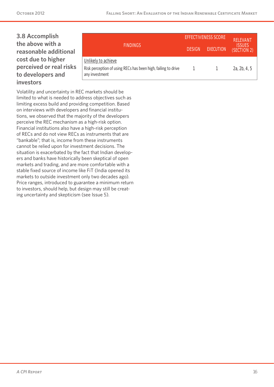## **3.8 Accomplish the above with a reasonable additional cost due to higher perceived or real risks to developers and investors**

|                                                                                                        | <b>EFFECTIVENESS SCORE</b> | <b>RELEVANT</b>  |                              |
|--------------------------------------------------------------------------------------------------------|----------------------------|------------------|------------------------------|
| <b>FINDINGS</b>                                                                                        | <b>DESIGN</b>              | <b>EXECUTION</b> | <b>ISSUES</b><br>(SECTION 2) |
| Unlikely to achieve<br>Risk perception of using RECs has been high, failing to drive<br>any investment |                            |                  | 2a, 2b, 4, 5                 |

Volatility and uncertainty in REC markets should be limited to what is needed to address objectives such as limiting excess build and providing competition. Based on interviews with developers and financial institutions, we observed that the majority of the developers perceive the REC mechanism as a high-risk option. Financial institutions also have a high-risk perception of RECs and do not view RECs as instruments that are "bankable"; that is, income from these instruments cannot be relied upon for investment decisions. The situation is exacerbated by the fact that Indian developers and banks have historically been skeptical of open markets and trading, and are more comfortable with a stable fixed source of income like FiT (India opened its markets to outside investment only two decades ago). Price ranges, introduced to guarantee a minimum return to investors, should help, but design may still be creating uncertainty and skepticism (see Issue 5).

*A CPI Report 16*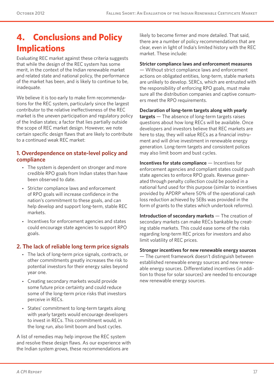# **4. Conclusions and Policy Implications**

Evaluating REC market against these criteria suggests that while the design of the REC system has some merit, in the context of the Indian renewable market and related state and national policy, the performance of the market has been, and is likely to continue to be, inadequate.

We believe it is too early to make firm recommendations for the REC system, particularly since the largest contributor to the relative ineffectiveness of the REC market is the uneven participation and regulatory policy of the Indian states; a factor that lies partially outside the scope of REC market design. However, we note certain specific design flaws that are likely to contribute to a continued weak REC market:

#### **1. Overdependence on state-level policy and compliance**

- The system is dependent on stronger and more credible RPO goals from Indian states than have been observed to date.
- Stricter compliance laws and enforcement of RPO goals will increase confidence in the nation's commitment to these goals, and can help develop and support long-term, stable REC markets.
- Incentives for enforcement agencies and states could encourage state agencies to support RPO goals.

#### **2. The lack of reliable long term price signals**

- The lack of long-term price signals, contracts, or other commitments greatly increases the risk to potential investors for their energy sales beyond year one.
- Creating secondary markets would provide some future price certainty and could reduce some of the long-term price risks that investors perceive in RECs.
- States' commitment to long-term targets along with yearly targets would encourage developers to invest in RECs. This commitment would, in the long run, also limit boom and bust cycles.

A list of remedies may help improve the REC system and resolve these design flaws. As our experience with the Indian system grows, these recommendations are

likely to become firmer and more detailed. That said, there are a number of policy recommendations that are clear, even in light of India's limited history with the REC market. These include:

**Stricter compliance laws and enforcement measures** — Without strict compliance laws and enforcement actions on obligated entities, long-term, stable markets are unlikely to develop. SERCs, which are entrusted with the responsibility of enforcing RPO goals, must make sure all the distribution companies and captive consumers meet the RPO requirements.

**Declaration of long-term targets along with yearly targets** — The absence of long-term targets raises questions about how long RECs will be available. Once developers and investors believe that REC markets are here to stay, they will value RECs as a financial instrument and will drive investment in renewable energy generation. Long-term targets and consistent polices may also limit boom and bust cycles.

**Incentives for state compliance** — Incentives for enforcement agencies and compliant states could push state agencies to enforce RPO goals. Revenue generated through penalty collection could be pooled in a national fund used for this purpose (similar to incentives provided by APDRP where 50% of the operational cash loss reduction achieved by SEBs was provided in the form of grants to the states which undertook reforms).

**Introduction of secondary markets** — The creation of secondary markets can make RECs bankable by creating stable markets. This could ease some of the risks regarding long-term REC prices for investors and also limit volatility of REC prices.

#### **Stronger incentives for new renewable energy sources**

— The current framework doesn't distinguish between established renewable energy sources and new renewable energy sources. Differentiated incentives (in addition to those for solar sources) are needed to encourage new renewable energy sources.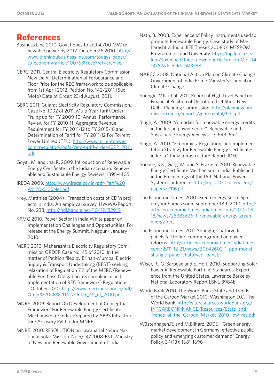## **References**

- Business Line 2010. Govt hopes to add 4,700 MW renewable power by 2012. October 26 2010. [http://](http://www.thehindubusinessline.com/todays-paper/tp-economy/article1007689.ece?ref=archive) [www.thehindubusinessline.com/todays-paper/](http://www.thehindubusinessline.com/todays-paper/tp-economy/article1007689.ece?ref=archive) [tp-economy/article1007689.ece?ref=archive,](http://www.thehindubusinessline.com/todays-paper/tp-economy/article1007689.ece?ref=archive)
- CERC. 2011. Central Electricity Regulatory Commission, New Delhi, Determination of Forbearance and Floor Price for the REC framework to be applicable from 1st April 2012. Petition No. 142/2011 (Suo Moto) Date of Order: 23rd August, 2011.
- GERC 2011. Gujarat Electricity Regulatory Commission. Case No. 1092 of 2011. Multi-Year Tariff Order: Truing up for FY 2009-10, Annual Performance Review for FY 2010-11, Aggregate Revenue Requirement for FY 2011-12 to FY 2015-16 and Determination of Tariff for FY 2011-12 For Torrent Power Limited (TPL). [http://www.torrentpower.](http://www.torrentpower.com/regulatory/pdfs/gerc-tariff-order-1092_2011.pdf) [com/regulatory/pdfs/gerc-tariff-order-1092\\_2011.](http://www.torrentpower.com/regulatory/pdfs/gerc-tariff-order-1092_2011.pdf) [pdf](http://www.torrentpower.com/regulatory/pdfs/gerc-tariff-order-1092_2011.pdf)
- Goyal, M. and Jha, R. 2009. Introduction of Renewable Energy Certificate in the Indian scenario. Renewable and Sustainable Energy Reviews. 1395–1405
- IREDA 2009. [http://www.ireda.gov.in/pdf/Part%20](http://www.ireda.gov.in/pdf/Part%20A%20-%20Net.pdf) [A%20-%20Net.pdf](http://www.ireda.gov.in/pdf/Part%20A%20-%20Net.pdf)
- Krey, Matthias (2004) : Transaction costs of CDM projects in India: An empirical survey, HWWA-Report, No. 238,<http://hdl.handle.net/10419/32919>
- KPMG 2010. Power Sector in India White paper on Implementation Challenges and Opportunities. For release at the Energy Summit, Nagpur - January 2010.
- MERC 2010. Maharashtra Electricity Regulatory Commission ORDER Case No. 45 of 2010. In the matter of Petition filed by Brihan-Mumbai Electric Supply & Transport Undertaking (BEST) seeking relaxation of Regulation 7.2 of the MERC (Renewable Purchase Obligation, its compliance and Implementation of REC framework) Regulations - October 2010. [http://www.mercindia.org.in/pdf/](http://www.mercindia.org.in/pdf/Order%2058%2042/Order_45_of_2010.pdf) [Order%2058%2042/Order\\_45\\_of\\_2010.pdf](http://www.mercindia.org.in/pdf/Order%2058%2042/Order_45_of_2010.pdf)
- MNRE. 2009. Report On Development of Conceptual Framework For Renewable Energy Certificate Mechanism for India. Prepared by ABPS Infrastructure Advisory Pvt Ltd for MNRE
- MNRE. 2010. RESOLUTION on Jawaharlal Nehru National Solar Mission. No.5/14/2008-P&C Ministry of New and Renewable Government of India
- Nath, B. 2008. Experience of Policy Instruments used to promote Renewable Energy, Case study of Maharashtra, India IIIEE Theses 2008:01 MESPOM Programme: Lund University. [http://lup.lub.lu.se/](http://lup.lub.lu.se/luur/download?func=downloadFile&recordOId=1413787&fileOId=1413788) [luur/download?func=downloadFile&recordOId=14](http://lup.lub.lu.se/luur/download?func=downloadFile&recordOId=1413787&fileOId=1413788) [13787&fileOId=1413788](http://lup.lub.lu.se/luur/download?func=downloadFile&recordOId=1413787&fileOId=1413788)
- NAPCC 2008. National Action Plan on Climate Change. Government of India Prime Minister's Council on Climate Change.
- Shunglu, V.K. et al. 2011. Report of High Level Panel on Financial Position of Distributed Utilities. New Delhi. Planning Commission. [http://planningcom](http://planningcommission.nic.in/reports/genrep/hlpf/hlpf.pdf)[mission.nic.in/reports/genrep/hlpf/hlpf.pdf](http://planningcommission.nic.in/reports/genrep/hlpf/hlpf.pdf).
- Singh, A. 2009. "A market for renewable energy credits in the Indian power sector". Renewable and Sustainable Energy Reviews. 13, 643–652.
- Singh, A. 2010. "Economics, Regulation, and Implementation Strategy for Renewable Energy Certificates in India." India Infrastructure Report. IDFC.
- Soonee, S.K., Garg, M. and S. Prakash. 2010. Renewable Energy Certificate Mechanism in India. Published in the Proceedings of the 16th National Power System Conference. [http://npsc2010.uceou.edu/](http://npsc2010.uceou.edu/papers/7116.pdf) [papers/7116.pdf](http://npsc2010.uceou.edu/papers/7116.pdf).
- The Economic Times. 2010. Green energy set to light up your homes soon. September 18th 2010. [http://](http://articles.economictimes.indiatimes.com/2010-09-18/news/28383626_1_renewable-energy-green-energy-rec) [articles.economictimes.indiatimes.com/2010-09-](http://articles.economictimes.indiatimes.com/2010-09-18/news/28383626_1_renewable-energy-green-energy-rec) [18/news/28383626\\_1\\_renewable-energy-green](http://articles.economictimes.indiatimes.com/2010-09-18/news/28383626_1_renewable-energy-green-energy-rec)[energy-rec,](http://articles.economictimes.indiatimes.com/2010-09-18/news/28383626_1_renewable-energy-green-energy-rec)
- The Economic Times. 2011. Shunglu, Chaturvedi panels fail to find common ground on power reforms. [http://articles.economictimes.indiatimes.](http://articles.economictimes.indiatimes.com/2011-12-21/news/30542602_1_ppp-model-shunglu-panel-chaturvedi-panel) [com/2011-12-21/news/30542602\\_1\\_ppp-model](http://articles.economictimes.indiatimes.com/2011-12-21/news/30542602_1_ppp-model-shunglu-panel-chaturvedi-panel)[shunglu-panel-chaturvedi-panel.](http://articles.economictimes.indiatimes.com/2011-12-21/news/30542602_1_ppp-model-shunglu-panel-chaturvedi-panel)
- Wiser, R., G. Barbose and E. Holt. 2010. Supporting Solar Power in Renewable Portfolio Standards: Experience from the United States. Lawrence Berkeley National Laboratory Report LBNL-3984E.
- World Bank 2010. The World Bank: State and Trends of the Carbon Market 2010. Washington D.C. The World Bank. [http://siteresources.worldbank.org/](http://siteresources.worldbank.org/INTCARBONFINANCE/Resources/State_and_Trends_of_the_Carbon_Market_2010_low_res.pdf) [INTCARBONFINANCE/Resources/State\\_and\\_](http://siteresources.worldbank.org/INTCARBONFINANCE/Resources/State_and_Trends_of_the_Carbon_Market_2010_low_res.pdf) Trends of the Carbon Market 2010 low res.pdf
- Wüstenhagen,R. and [M.Bilharz.](M.Bilharz) 2006. "Green energy market development in Germany: effective public policy and emerging customer demand" Energy Policy, 34(13): 1681-1696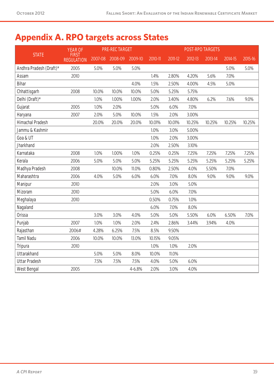# **Appendix A. RPO targets across States**

|                         | <b>YEAR OF</b>                    |         | <b>PRE-REC TARGET</b> |         |         |         |         | <b>POST-RPO TARGETS</b> |         |         |
|-------------------------|-----------------------------------|---------|-----------------------|---------|---------|---------|---------|-------------------------|---------|---------|
| <b>STATE</b>            | <b>FIRST</b><br><b>REGULATION</b> | 2007-08 | 2008-09               | 2009-10 | 2010-11 | 2011-12 | 2012-13 | 2013-14                 | 2014-15 | 2015-16 |
| Andhra Pradesh (Draft)* | 2005                              | 5.0%    | 5.0%                  | 5.0%    |         |         |         |                         | 5.0%    | 5.0%    |
| Assam                   | 2010                              |         |                       |         | 1.4%    | 2.80%   | 4.20%   | 5.6%                    | 7.0%    |         |
| <b>Bihar</b>            |                                   |         |                       | 4.0%    | 1.5%    | 2.50%   | 4.00%   | 4.5%                    | 5.0%    |         |
| Chhattisgarh            | 2008                              | 10.0%   | 10.0%                 | 10.0%   | 5.0%    | 5.25%   | 5.75%   |                         |         |         |
| Delhi (Draft)*          |                                   | 1.0%    | 1.00%                 | 1.00%   | 2.0%    | 3.40%   | 4.80%   | 6.2%                    | 7.6%    | 9.0%    |
| Gujarat                 | 2005                              | 1.0%    | 2.0%                  |         | 5.0%    | 6.0%    | 7.0%    |                         |         |         |
| Haryana                 | 2007                              | 2.0%    | 5.0%                  | 10.0%   | 1.5%    | 2.0%    | 3.00%   |                         |         |         |
| <b>Himachal Pradesh</b> |                                   | 20.0%   | 20.0%                 | 20.0%   | 10.01%  | 10.01%  | 10.25%  | 10.25%                  | 10.25%  | 10.25%  |
| Jammu & Kashmir         |                                   |         |                       |         | 1.0%    | 3.0%    | 5.00%   |                         |         |         |
| Goa & UT                |                                   |         |                       |         | 1.0%    | 2.0%    | 3.00%   |                         |         |         |
| <b>Jharkhand</b>        |                                   |         |                       |         | 2.0%    | 2.50%   | 3.10%   |                         |         |         |
| Karnataka               | 2008                              | 1.0%    | 1.00%                 | 1.0%    | 0.25%   | 0.25%   | 7.25%   | 7.25%                   | 7.25%   | 7.25%   |
| Kerala                  | 2006                              | 5.0%    | 5.0%                  | 5.0%    | 5.25%   | 5.25%   | 5.25%   | 5.25%                   | 5.25%   | 5.25%   |
| Madhya Pradesh          | 2008                              |         | 10.0%                 | 11.0%   | 0.80%   | 2.50%   | 4.0%    | 5.50%                   | 7.0%    |         |
| Maharashtra             | 2006                              | 4.0%    | 5.0%                  | 6.0%    | 6.0%    | 7.0%    | 8.0%    | 9.0%                    | 9.0%    | 9.0%    |
| Manipur                 | 2010                              |         |                       |         | 2.0%    | 3.0%    | 5.0%    |                         |         |         |
| Mizoram                 | 2010                              |         |                       |         | 5.0%    | 6.0%    | 7.0%    |                         |         |         |
| Meghalaya               | 2010                              |         |                       |         | 0.50%   | 0.75%   | 1.0%    |                         |         |         |
| Nagaland                |                                   |         |                       |         | 6.0%    | 7.0%    | 8.0%    |                         |         |         |
| <b>Orissa</b>           |                                   | 3.0%    | 3.0%                  | 4.0%    | 5.0%    | 5.0%    | 5.50%   | 6.0%                    | 6.50%   | 7.0%    |
| Punjab                  | 2007                              | 1.0%    | 1.0%                  | 2.0%    | 2.4%    | 2.86%   | 3.44%   | 3.94%                   | 4.0%    |         |
| Rajasthan               | 2006#                             | 4.28%   | 6.25%                 | 7.5%    | 8.5%    | 9.50%   |         |                         |         |         |
| <b>Tamil Nadu</b>       | 2006                              | 10.0%   | 10.0%                 | 13.0%   | 10.15%  | 9.05%   |         |                         |         |         |
| <b>Tripura</b>          | 2010                              |         |                       |         | 1.0%    | 1.0%    | 2.0%    |                         |         |         |
| <b>Uttarakhand</b>      |                                   | 5.0%    | 5.0%                  | 8.0%    | 10.0%   | 11.0%   |         |                         |         |         |
| <b>Uttar Pradesh</b>    |                                   | 7.5%    | 7.5%                  | 7.5%    | 4.0%    | 5.0%    | 6.0%    |                         |         |         |
| <b>West Bengal</b>      | 2005                              |         |                       | 4-6.8%  | 2.0%    | 3.0%    | 4.0%    |                         |         |         |